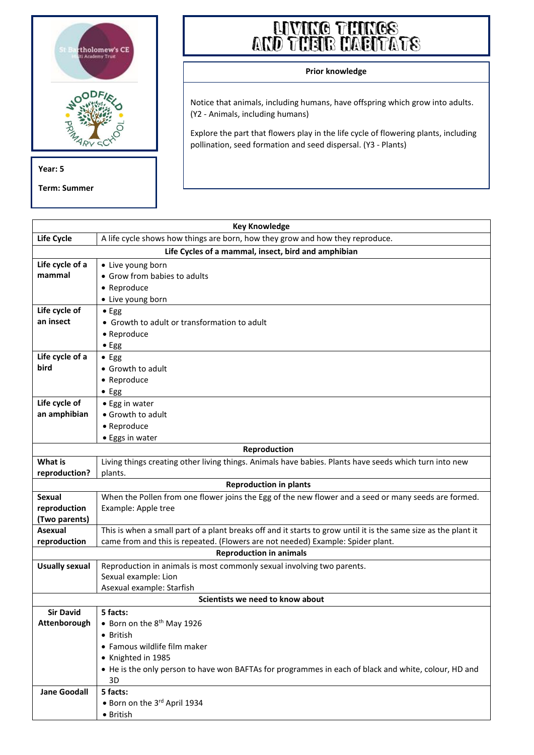

**Term: Summer**

## **AND THEIR HABITATS**

## **Prior knowledge**

Notice that animals, including humans, have offspring which grow into adults. (Y2 - Animals, including humans)

Explore the part that flowers play in the life cycle of flowering plants, including pollination, seed formation and seed dispersal. (Y3 - Plants)

| <b>Key Knowledge</b>                                                                            |                                                                                                                 |  |  |
|-------------------------------------------------------------------------------------------------|-----------------------------------------------------------------------------------------------------------------|--|--|
| Life Cycle                                                                                      | A life cycle shows how things are born, how they grow and how they reproduce.                                   |  |  |
| Life Cycles of a mammal, insect, bird and amphibian                                             |                                                                                                                 |  |  |
| Life cycle of a                                                                                 | • Live young born                                                                                               |  |  |
| mammal                                                                                          | • Grow from babies to adults                                                                                    |  |  |
|                                                                                                 | • Reproduce                                                                                                     |  |  |
|                                                                                                 | • Live young born                                                                                               |  |  |
| Life cycle of                                                                                   | $\bullet$ Egg                                                                                                   |  |  |
| an insect                                                                                       | • Growth to adult or transformation to adult                                                                    |  |  |
|                                                                                                 | • Reproduce                                                                                                     |  |  |
|                                                                                                 | $\bullet$ Egg                                                                                                   |  |  |
| Life cycle of a                                                                                 | $\bullet$ Egg                                                                                                   |  |  |
| bird                                                                                            | • Growth to adult                                                                                               |  |  |
|                                                                                                 | • Reproduce                                                                                                     |  |  |
|                                                                                                 | $\bullet$ Egg                                                                                                   |  |  |
| Life cycle of                                                                                   | • Egg in water                                                                                                  |  |  |
| an amphibian                                                                                    | • Growth to adult                                                                                               |  |  |
|                                                                                                 | • Reproduce                                                                                                     |  |  |
|                                                                                                 | • Eggs in water                                                                                                 |  |  |
| Reproduction                                                                                    |                                                                                                                 |  |  |
| <b>What is</b>                                                                                  | Living things creating other living things. Animals have babies. Plants have seeds which turn into new          |  |  |
| reproduction?                                                                                   | plants.                                                                                                         |  |  |
|                                                                                                 | <b>Reproduction in plants</b>                                                                                   |  |  |
| <b>Sexual</b>                                                                                   | When the Pollen from one flower joins the Egg of the new flower and a seed or many seeds are formed.            |  |  |
| reproduction                                                                                    | Example: Apple tree                                                                                             |  |  |
| (Two parents)                                                                                   |                                                                                                                 |  |  |
| Asexual                                                                                         | This is when a small part of a plant breaks off and it starts to grow until it is the same size as the plant it |  |  |
| came from and this is repeated. (Flowers are not needed) Example: Spider plant.<br>reproduction |                                                                                                                 |  |  |
| <b>Reproduction in animals</b>                                                                  |                                                                                                                 |  |  |
| <b>Usually sexual</b>                                                                           | Reproduction in animals is most commonly sexual involving two parents.                                          |  |  |
|                                                                                                 | Sexual example: Lion                                                                                            |  |  |
|                                                                                                 | Asexual example: Starfish                                                                                       |  |  |
| Scientists we need to know about                                                                |                                                                                                                 |  |  |
| <b>Sir David</b><br>Attenborough                                                                | 5 facts:                                                                                                        |  |  |
|                                                                                                 | • Born on the 8 <sup>th</sup> May 1926                                                                          |  |  |
|                                                                                                 | • British                                                                                                       |  |  |
|                                                                                                 | • Famous wildlife film maker<br>• Knighted in 1985                                                              |  |  |
|                                                                                                 |                                                                                                                 |  |  |
|                                                                                                 | • He is the only person to have won BAFTAs for programmes in each of black and white, colour, HD and<br>3D      |  |  |
| <b>Jane Goodall</b>                                                                             | 5 facts:                                                                                                        |  |  |
|                                                                                                 | . Born on the 3rd April 1934                                                                                    |  |  |
|                                                                                                 | • British                                                                                                       |  |  |
|                                                                                                 |                                                                                                                 |  |  |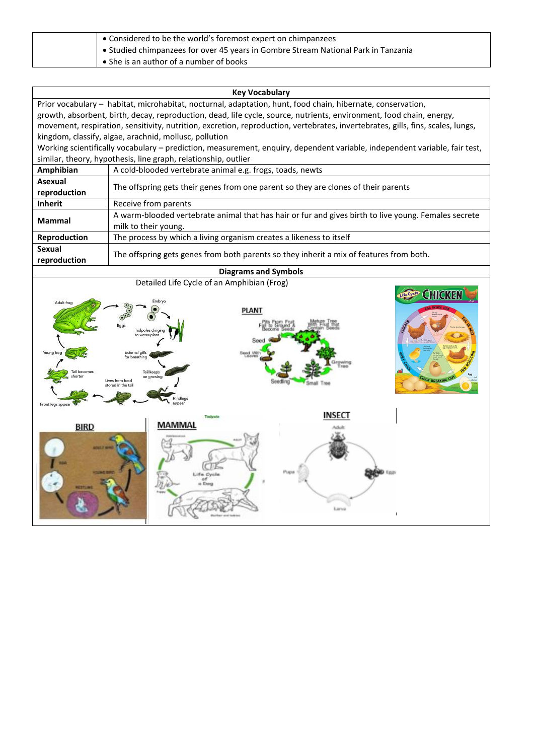| • Considered to be the world's foremost expert on chimpanzees                      |
|------------------------------------------------------------------------------------|
| • Studied chimpanzees for over 45 years in Gombre Stream National Park in Tanzania |
| • She is an author of a number of books                                            |

| <b>Key Vocabulary</b>                                                                                                           |                                                                                                      |  |  |
|---------------------------------------------------------------------------------------------------------------------------------|------------------------------------------------------------------------------------------------------|--|--|
| Prior vocabulary - habitat, microhabitat, nocturnal, adaptation, hunt, food chain, hibernate, conservation,                     |                                                                                                      |  |  |
| growth, absorbent, birth, decay, reproduction, dead, life cycle, source, nutrients, environment, food chain, energy,            |                                                                                                      |  |  |
| movement, respiration, sensitivity, nutrition, excretion, reproduction, vertebrates, invertebrates, gills, fins, scales, lungs, |                                                                                                      |  |  |
| kingdom, classify, algae, arachnid, mollusc, pollution                                                                          |                                                                                                      |  |  |
| Working scientifically vocabulary – prediction, measurement, enquiry, dependent variable, independent variable, fair test,      |                                                                                                      |  |  |
| similar, theory, hypothesis, line graph, relationship, outlier                                                                  |                                                                                                      |  |  |
| Amphibian                                                                                                                       | A cold-blooded vertebrate animal e.g. frogs, toads, newts                                            |  |  |
| Asexual                                                                                                                         |                                                                                                      |  |  |
| reproduction                                                                                                                    | The offspring gets their genes from one parent so they are clones of their parents                   |  |  |
| <b>Inherit</b>                                                                                                                  | Receive from parents                                                                                 |  |  |
| <b>Mammal</b>                                                                                                                   | A warm-blooded vertebrate animal that has hair or fur and gives birth to live young. Females secrete |  |  |
|                                                                                                                                 | milk to their young.                                                                                 |  |  |
| Reproduction                                                                                                                    | The process by which a living organism creates a likeness to itself                                  |  |  |
| Sexual                                                                                                                          | The offspring gets genes from both parents so they inherit a mix of features from both.              |  |  |
| reproduction                                                                                                                    |                                                                                                      |  |  |
| <b>Diagrams and Symbols</b>                                                                                                     |                                                                                                      |  |  |